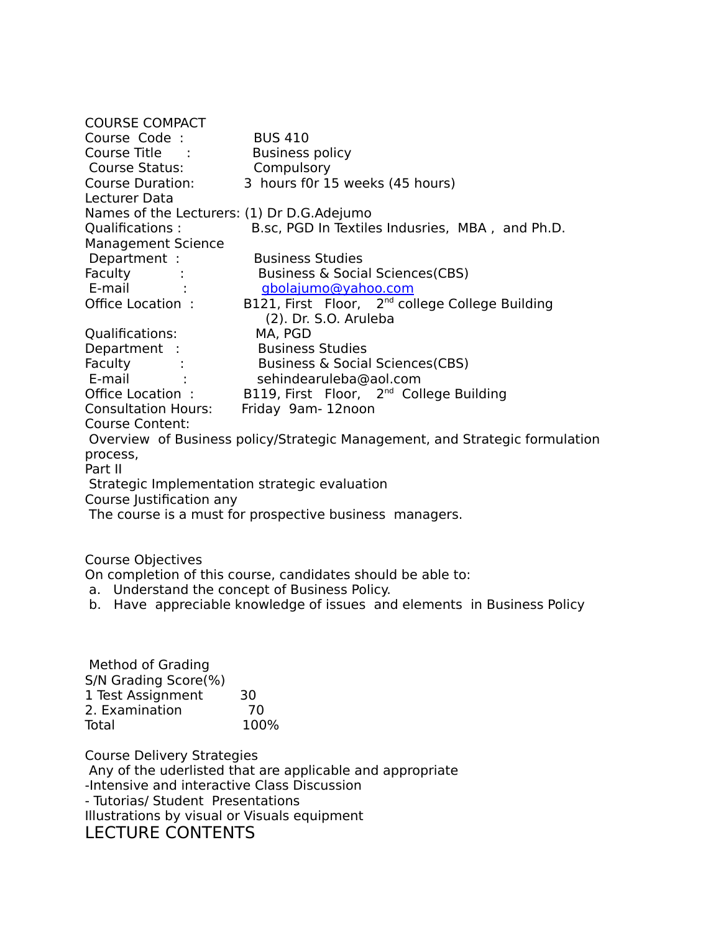| <b>COURSE COMPACT</b>                                                                                           |                                                                              |
|-----------------------------------------------------------------------------------------------------------------|------------------------------------------------------------------------------|
| Course Code :                                                                                                   | <b>BUS 410</b>                                                               |
| Course Title :                                                                                                  | <b>Business policy</b>                                                       |
| Course Status: The Course of the Course of the Course of the Course of the Course of the Course of the Course o | Compulsory                                                                   |
| Course Duration:                                                                                                | 3 hours f0r 15 weeks (45 hours)                                              |
| Lecturer Data                                                                                                   |                                                                              |
| Names of the Lecturers: (1) Dr D.G.Adejumo                                                                      |                                                                              |
| Qualifications:                                                                                                 | B.sc, PGD In Textiles Indusries, MBA, and Ph.D.                              |
| <b>Management Science</b>                                                                                       |                                                                              |
| Department :                                                                                                    | <b>Business Studies</b>                                                      |
| Faculty                                                                                                         | Business & Social Sciences (CBS)                                             |
| E-mail :                                                                                                        | gbolajumo@yahoo.com                                                          |
|                                                                                                                 | Office Location: B121, First Floor, 2 <sup>nd</sup> college College Building |
|                                                                                                                 | (2). Dr. S.O. Aruleba                                                        |
| Qualifications:                                                                                                 | MA, PGD                                                                      |
|                                                                                                                 | Department : Business Studies<br>Faculty : Business & Social Sciences(CBS)   |
|                                                                                                                 |                                                                              |
|                                                                                                                 | E-mail : sehindearuleba@aol.com                                              |
|                                                                                                                 | Office Location: B119, First Floor, 2 <sup>nd</sup> College Building         |
| <b>Consultation Hours:</b>                                                                                      | Friday 9am-12noon                                                            |
| <b>Course Content:</b>                                                                                          |                                                                              |
| Overview of Business policy/Strategic Management, and Strategic formulation                                     |                                                                              |
| process,                                                                                                        |                                                                              |
| Part II                                                                                                         |                                                                              |
| Strategic Implementation strategic evaluation                                                                   |                                                                              |
| Course Justification any                                                                                        |                                                                              |
|                                                                                                                 | The course is a must for prospective business managers.                      |
|                                                                                                                 |                                                                              |

Course Objectives

On completion of this course, candidates should be able to:

- a. Understand the concept of Business Policy.
- b. Have appreciable knowledge of issues and elements in Business Policy

 Method of Grading S/N Grading Score(%) 1 Test Assignment 30 2. Examination 70 Total 100%

Course Delivery Strategies Any of the uderlisted that are applicable and appropriate -Intensive and interactive Class Discussion - Tutorias/ Student Presentations Illustrations by visual or Visuals equipment LECTURE CONTENTS